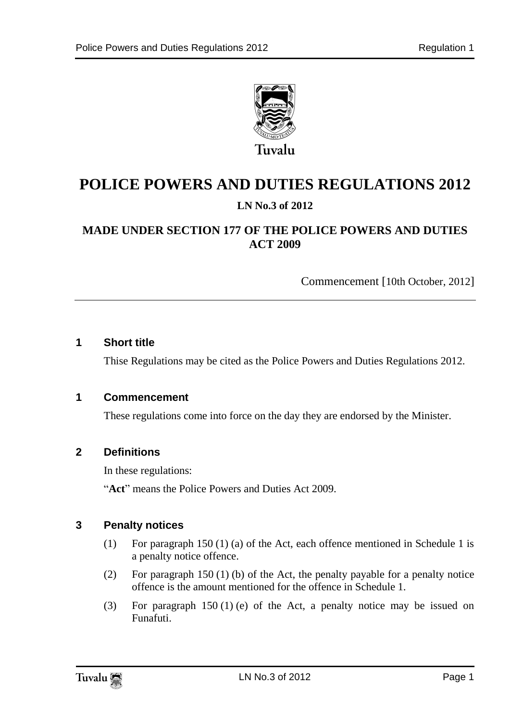

# **POLICE POWERS AND DUTIES REGULATIONS 2012 LN No.3 of 2012**

### **MADE UNDER SECTION 177 OF THE POLICE POWERS AND DUTIES ACT 2009**

Commencement [10th October, 2012]

#### **1 Short title**

Thise Regulations may be cited as the Police Powers and Duties Regulations 2012.

#### **1 Commencement**

These regulations come into force on the day they are endorsed by the Minister.

#### **2 Definitions**

In these regulations:

"**Act**" means the Police Powers and Duties Act 2009.

#### **3 Penalty notices**

- (1) For paragraph 150 (1) (a) of the Act, each offence mentioned in Schedule 1 is a penalty notice offence.
- (2) For paragraph 150 (1) (b) of the Act, the penalty payable for a penalty notice offence is the amount mentioned for the offence in Schedule 1.
- (3) For paragraph 150 (1) (e) of the Act, a penalty notice may be issued on Funafuti.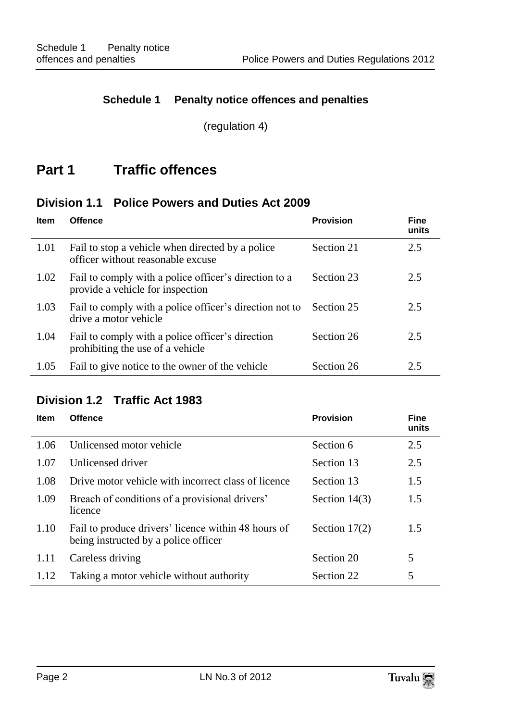#### **Schedule 1 Penalty notice offences and penalties**

(regulation 4)

## **Part 1 Traffic offences**

### **Division 1.1 Police Powers and Duties Act 2009**

| <b>Item</b> | <b>Offence</b>                                                                            | <b>Provision</b> | <b>Fine</b><br>units |
|-------------|-------------------------------------------------------------------------------------------|------------------|----------------------|
| 1.01        | Fail to stop a vehicle when directed by a police<br>officer without reasonable excuse     | Section 21       | 2.5                  |
| 1.02        | Fail to comply with a police officer's direction to a<br>provide a vehicle for inspection | Section 23       | 2.5                  |
| 1.03        | Fail to comply with a police officer's direction not to<br>drive a motor vehicle          | Section 25       | 2.5                  |
| 1.04        | Fail to comply with a police officer's direction<br>prohibiting the use of a vehicle      | Section 26       | 2.5                  |
| 1.05        | Fail to give notice to the owner of the vehicle                                           | Section 26       | 2.5                  |

## **Division 1.2 Traffic Act 1983**

| <b>Item</b> | <b>Offence</b>                                                                              | <b>Provision</b> | <b>Fine</b><br>units |
|-------------|---------------------------------------------------------------------------------------------|------------------|----------------------|
| 1.06        | Unlicensed motor vehicle                                                                    | Section 6        | 2.5                  |
| 1.07        | Unlicensed driver                                                                           | Section 13       | 2.5                  |
| 1.08        | Drive motor vehicle with incorrect class of licence                                         | Section 13       | 1.5                  |
| 1.09        | Breach of conditions of a provisional drivers'<br>licence                                   | Section $14(3)$  | 1.5                  |
| 1.10        | Fail to produce drivers' licence within 48 hours of<br>being instructed by a police officer | Section $17(2)$  | 1.5                  |
| 1.11        | Careless driving                                                                            | Section 20       | 5                    |
| 1.12        | Taking a motor vehicle without authority                                                    | Section 22       | 5                    |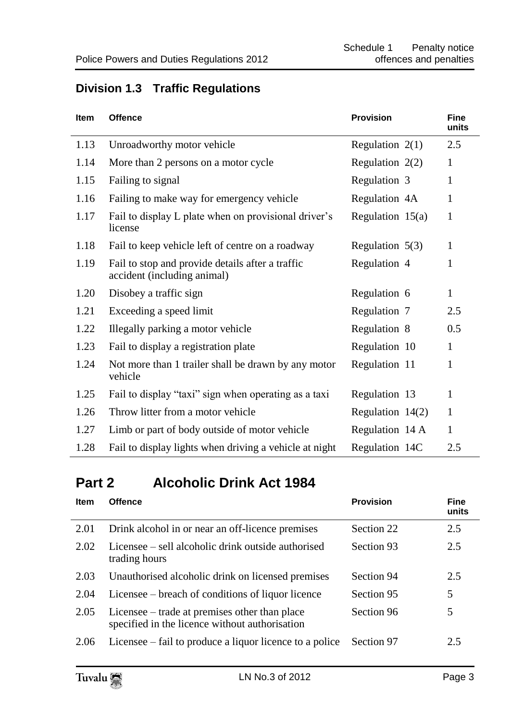## **Division 1.3 Traffic Regulations**

| <b>Item</b> | <b>Offence</b>                                                                  | <b>Provision</b>   | <b>Fine</b><br>units |
|-------------|---------------------------------------------------------------------------------|--------------------|----------------------|
| 1.13        | Unroadworthy motor vehicle                                                      | Regulation $2(1)$  | 2.5                  |
| 1.14        | More than 2 persons on a motor cycle                                            | Regulation $2(2)$  | $\mathbf{1}$         |
| 1.15        | Failing to signal                                                               | Regulation 3       | 1                    |
| 1.16        | Failing to make way for emergency vehicle                                       | Regulation 4A      | 1                    |
| 1.17        | Fail to display L plate when on provisional driver's<br>license                 | Regulation $15(a)$ | 1                    |
| 1.18        | Fail to keep vehicle left of centre on a roadway                                | Regulation $5(3)$  | $\mathbf{1}$         |
| 1.19        | Fail to stop and provide details after a traffic<br>accident (including animal) | Regulation 4       | 1                    |
| 1.20        | Disobey a traffic sign                                                          | Regulation 6       | $\mathbf{1}$         |
| 1.21        | Exceeding a speed limit                                                         | Regulation 7       | 2.5                  |
| 1.22        | Illegally parking a motor vehicle                                               | Regulation 8       | 0.5                  |
| 1.23        | Fail to display a registration plate                                            | Regulation 10      | $\mathbf{1}$         |
| 1.24        | Not more than 1 trailer shall be drawn by any motor<br>vehicle                  | Regulation 11      | $\mathbf{1}$         |
| 1.25        | Fail to display "taxi" sign when operating as a taxi                            | Regulation 13      | 1                    |
| 1.26        | Throw litter from a motor vehicle                                               | Regulation $14(2)$ | 1                    |
| 1.27        | Limb or part of body outside of motor vehicle                                   | Regulation 14 A    | $\mathbf{1}$         |
| 1.28        | Fail to display lights when driving a vehicle at night                          | Regulation 14C     | 2.5                  |

# **Part 2 Alcoholic Drink Act 1984**

| <b>Item</b> | <b>Offence</b>                                                                                  | <b>Provision</b> | <b>Fine</b><br>units |
|-------------|-------------------------------------------------------------------------------------------------|------------------|----------------------|
| 2.01        | Drink alcohol in or near an off-licence premises                                                | Section 22       | 2.5                  |
| 2.02        | Licensee – sell alcoholic drink outside authorised<br>trading hours                             | Section 93       | 2.5                  |
| 2.03        | Unauthorised alcoholic drink on licensed premises                                               | Section 94       | 2.5                  |
| 2.04        | Licensee – breach of conditions of liquor licence                                               | Section 95       | 5                    |
| 2.05        | Licensee – trade at premises other than place<br>specified in the licence without authorisation | Section 96       | 5                    |
| 2.06        | Licensee – fail to produce a liquor licence to a police                                         | Section 97       | 2.5                  |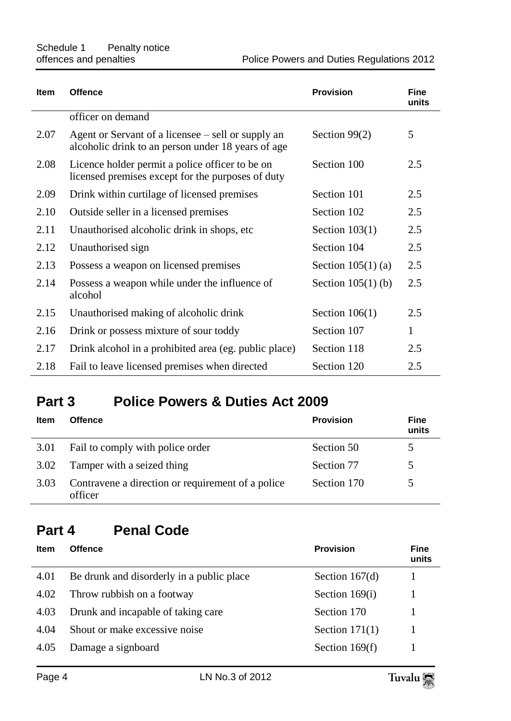| <b>Item</b> | <b>Offence</b>                                                                                           | <b>Provision</b>     | <b>Fine</b><br>units |
|-------------|----------------------------------------------------------------------------------------------------------|----------------------|----------------------|
|             | officer on demand                                                                                        |                      |                      |
| 2.07        | Agent or Servant of a licensee – sell or supply an<br>alcoholic drink to an person under 18 years of age | Section 99(2)        | 5                    |
| 2.08        | Licence holder permit a police officer to be on<br>licensed premises except for the purposes of duty     | Section 100          | 2.5                  |
| 2.09        | Drink within curtilage of licensed premises                                                              | Section 101          | 2.5                  |
| 2.10        | Outside seller in a licensed premises                                                                    | Section 102          | 2.5                  |
| 2.11        | Unauthorised alcoholic drink in shops, etc.                                                              | Section $103(1)$     | 2.5                  |
| 2.12        | Unauthorised sign                                                                                        | Section 104          | 2.5                  |
| 2.13        | Possess a weapon on licensed premises                                                                    | Section $105(1)$ (a) | 2.5                  |
| 2.14        | Possess a weapon while under the influence of<br>alcohol                                                 | Section $105(1)$ (b) | 2.5                  |
| 2.15        | Unauthorised making of alcoholic drink                                                                   | Section $106(1)$     | 2.5                  |
| 2.16        | Drink or possess mixture of sour toddy                                                                   | Section 107          | $\mathbf{1}$         |
| 2.17        | Drink alcohol in a prohibited area (eg. public place)                                                    | Section 118          | 2.5                  |
| 2.18        | Fail to leave licensed premises when directed                                                            | Section 120          | 2.5                  |

## **Part 3 Police Powers & Duties Act 2009**

| Item | <b>Offence</b>                                               | <b>Provision</b> | Fine<br>units |
|------|--------------------------------------------------------------|------------------|---------------|
| 3.01 | Fail to comply with police order                             | Section 50       |               |
| 3.02 | Tamper with a seized thing                                   | Section 77       |               |
| 3.03 | Contravene a direction or requirement of a police<br>officer | Section 170      |               |

# **Part 4 Penal Code**

| <b>Offence</b>                            | <b>Provision</b> | <b>Fine</b><br>units |
|-------------------------------------------|------------------|----------------------|
| Be drunk and disorderly in a public place | Section $167(d)$ |                      |
| Throw rubbish on a footway                | Section $169(i)$ |                      |
| Drunk and incapable of taking care        | Section 170      |                      |
| Shout or make excessive noise             | Section $171(1)$ |                      |
| Damage a signboard                        | Section $169(f)$ |                      |
|                                           |                  |                      |